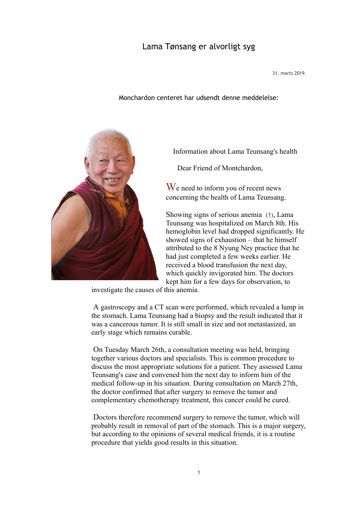## Lama Tønsang er alvorligt syg

31. marts 2019.

Monchardon centeret har udsendt denne meddelelse:



Information about Lama Teunsang's health

Dear Friend of Montchardon,

We need to inform you of recent news concerning the health of Lama Teunsang.

Showing signs of serious anemia (1), Lama Teunsang was hospitalized on March 8th. His hemoglobin level had dropped significantly. He showed signs of exhaustion – that he himself attributed to the 8 Nyung Ney practice that he had just completed a few weeks earlier. He received a blood transfusion the next day, which quickly invigorated him. The doctors kept him for a few days for observation, to

investigate the causes of this anemia.

A gastroscopy and a CT scan were performed, which revealed a lump in the stomach. Lama Teunsang had a biopsy and the result indicated that it was a cancerous tumor. It is still small in size and not metastasized, an early stage which remains curable.

 On Tuesday March 26th, a consultation meeting was held, bringing together various doctors and specialists. This is common procedure to discuss the most appropriate solutions for a patient. They assessed Lama Teunsang's case and convened him the next day to inform him of the medical follow-up in his situation. During consultation on March 27th, the doctor confirmed that after surgery to remove the tumor and complementary chemotherapy treatment, this cancer could be cured.

 Doctors therefore recommend surgery to remove the tumor, which will probably result in removal of part of the stomach. This is a major surgery, but according to the opinions of several medical friends, it is a routine procedure that yields good results in this situation.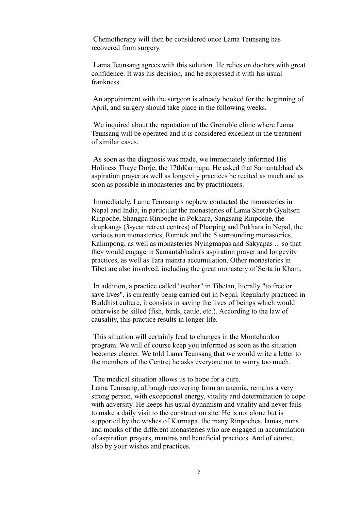Chemotherapy will then be considered once Lama Teunsang has recovered from surgery.

 Lama Teunsang agrees with this solution. He relies on doctors with great confidence. It was his decision, and he expressed it with his usual frankness.

 An appointment with the surgeon is already booked for the beginning of April, and surgery should take place in the following weeks.

 We inquired about the reputation of the Grenoble clinic where Lama Teunsang will be operated and it is considered excellent in the treatment of similar cases.

As soon as the diagnosis was made, we immediately informed His Holiness Thaye Dorje, the 17thKarmapa. He asked that Samantabhadra's aspiration prayer as well as longevity practices be recited as much and as soon as possible in monasteries and by practitioners.

 Immediately, Lama Teunsang's nephew contacted the monasteries in Nepal and India, in particular the monasteries of Lama Sherab Gyaltsen Rinpoche, Shangpa Rinpoche in Pokhara, Sangsang Rinpoche, the drupkangs (3-year retreat centres) of Pharping and Pokhara in Nepal, the various nun monasteries, Rumtek and the 5 surrounding monasteries, Kalimpong, as well as monasteries Nyingmapas and Sakyapas ... so that they would engage in Samantabhadra's aspiration prayer and longevity practices, as well as Tara mantra accumulation. Other monasteries in Tibet are also involved, including the great monastery of Serta in Kham.

 In addition, a practice called "tsethar" in Tibetan, literally "to free or save lives", is currently being carried out in Nepal. Regularly practiced in Buddhist culture, it consists in saving the lives of beings which would otherwise be killed (fish, birds, cattle, etc.). According to the law of causality, this practice results in longer life.

This situation will certainly lead to changes in the Montchardon program. We will of course keep you informed as soon as the situation becomes clearer. We told Lama Teunsang that we would write a letter to the members of the Centre; he asks everyone not to worry too much.

The medical situation allows us to hope for a cure.

Lama Teunsang, although recovering from an anemia, remains a very strong person, with exceptional energy, vitality and determination to cope with adversity. He keeps his usual dynamism and vitality and never fails to make a daily visit to the construction site. He is not alone but is supported by the wishes of Karmapa, the many Rinpoches, lamas, nuns and monks of the different monasteries who are engaged in accumulation of aspiration prayers, mantras and beneficial practices. And of course, also by your wishes and practices.